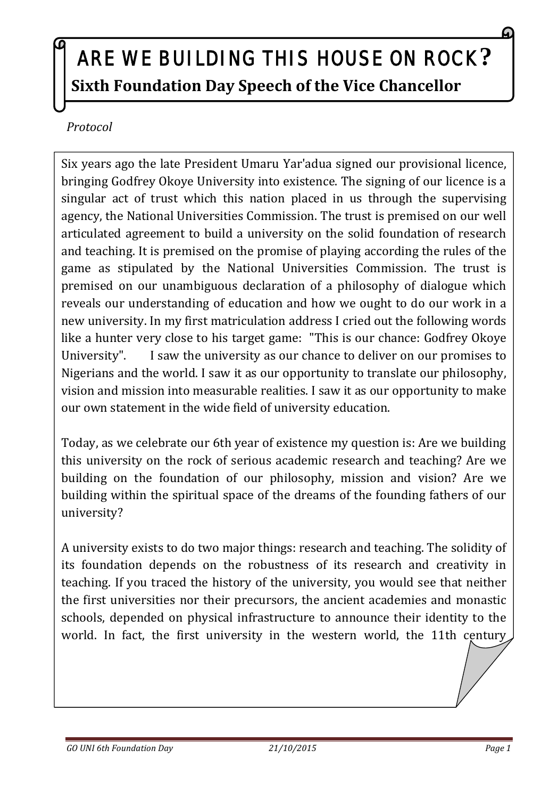## ARE WE BUILDING THIS HOUSE ON ROCK **? Sixth Foundation Day Speech of the Vice Chancellor**

*Protocol*

Six years ago the late President Umaru Yar'adua signed our provisional licence, bringing Godfrey Okoye University into existence. The signing of our licence is a singular act of trust which this nation placed in us through the supervising agency, the National Universities Commission. The trust is premised on our well articulated agreement to build a university on the solid foundation of research and teaching. It is premised on the promise of playing according the rules of the game as stipulated by the National Universities Commission. The trust is premised on our unambiguous declaration of a philosophy of dialogue which reveals our understanding of education and how we ought to do our work in a new university. In my first matriculation address I cried out the following words like a hunter very close to his target game: "This is our chance: Godfrey Okoye University". I saw the university as our chance to deliver on our promises to Nigerians and the world. I saw it as our opportunity to translate our philosophy, vision and mission into measurable realities. I saw it as our opportunity to make our own statement in the wide field of university education.

Today, as we celebrate our 6th year of existence my question is: Are we building this university on the rock of serious academic research and teaching? Are we building on the foundation of our philosophy, mission and vision? Are we building within the spiritual space of the dreams of the founding fathers of our university?

A university exists to do two major things: research and teaching. The solidity of its foundation depends on the robustness of its research and creativity in teaching. If you traced the history of the university, you would see that neither the first universities nor their precursors, the ancient academies and monastic schools, depended on physical infrastructure to announce their identity to the world. In fact, the first university in the western world, the 11th century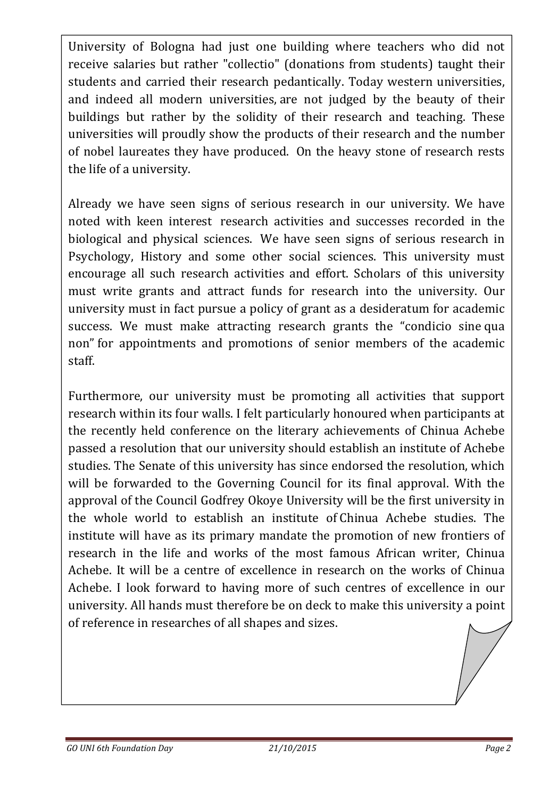University of Bologna had just one building where teachers who did not receive salaries but rather "collectio" (donations from students) taught their students and carried their research pedantically. Today western universities, and indeed all modern universities, are not judged by the beauty of their buildings but rather by the solidity of their research and teaching. These universities will proudly show the products of their research and the number of nobel laureates they have produced. On the heavy stone of research rests the life of a university.

Already we have seen signs of serious research in our university. We have noted with keen interest research activities and successes recorded in the biological and physical sciences. We have seen signs of serious research in Psychology, History and some other social sciences. This university must encourage all such research activities and effort. Scholars of this university must write grants and attract funds for research into the university. Our university must in fact pursue a policy of grant as a desideratum for academic success. We must make attracting research grants the "condicio sine qua non" for appointments and promotions of senior members of the academic staff.

Furthermore, our university must be promoting all activities that support research within its four walls. I felt particularly honoured when participants at the recently held conference on the literary achievements of Chinua Achebe passed a resolution that our university should establish an institute of Achebe studies. The Senate of this university has since endorsed the resolution, which will be forwarded to the Governing Council for its final approval. With the approval of the Council Godfrey Okoye University will be the first university in the whole world to establish an institute of Chinua Achebe studies. The institute will have as its primary mandate the promotion of new frontiers of research in the life and works of the most famous African writer, Chinua Achebe. It will be a centre of excellence in research on the works of Chinua Achebe. I look forward to having more of such centres of excellence in our university. All hands must therefore be on deck to make this university a point of reference in researches of all shapes and sizes.